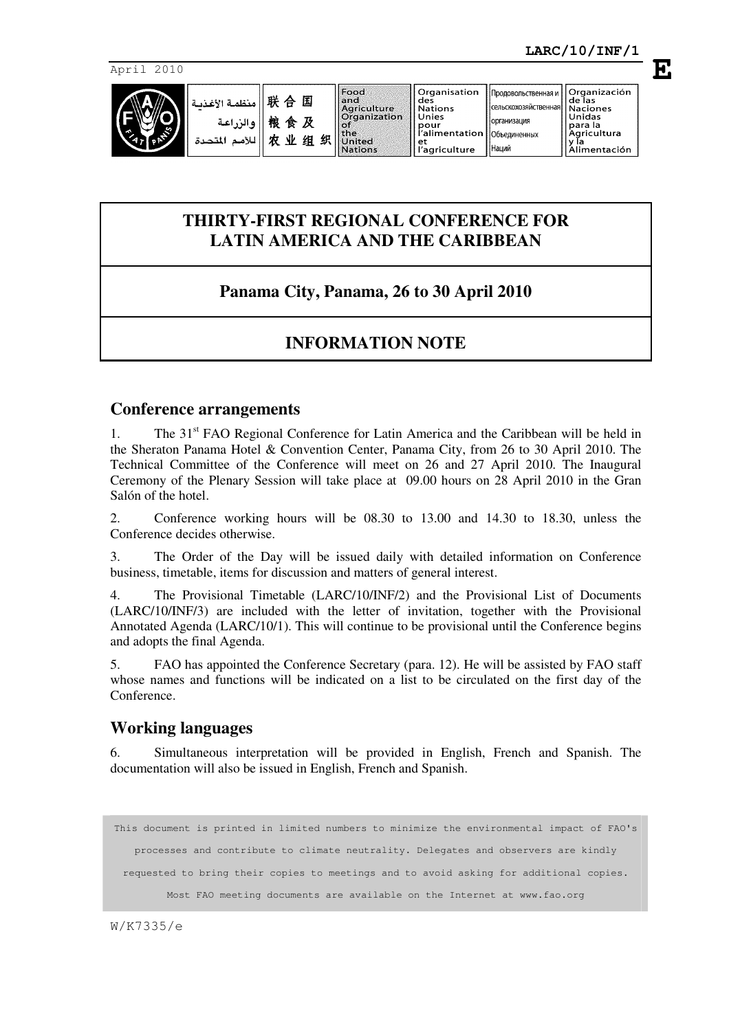**Naciones** nacion<br>Unidas

para la<br>Agricultura<br>y la

, y la<br>Alimentación<br>Alimentación

April 2010



Продовольственная и

**САЛЬСКОХОЗЯЙСТВАННА** 

|организация

Наций

|<br>|Объелиненных

**E**

# **THIRTY-FIRST REGIONAL CONFERENCE FOR LATIN AMERICA AND THE CARIBBEAN**

# **Panama City, Panama, 26 to 30 April 2010**

# **INFORMATION NOTE**

### **Conference arrangements**

1. The  $31<sup>st</sup>$  FAO Regional Conference for Latin America and the Caribbean will be held in the Sheraton Panama Hotel & Convention Center, Panama City, from 26 to 30 April 2010. The Technical Committee of the Conference will meet on 26 and 27 April 2010. The Inaugural Ceremony of the Plenary Session will take place at 09.00 hours on 28 April 2010 in the Gran Salón of the hotel.

2. Conference working hours will be 08.30 to 13.00 and 14.30 to 18.30, unless the Conference decides otherwise.

3. The Order of the Day will be issued daily with detailed information on Conference business, timetable, items for discussion and matters of general interest.

4. The Provisional Timetable (LARC/10/INF/2) and the Provisional List of Documents (LARC/10/INF/3) are included with the letter of invitation, together with the Provisional Annotated Agenda (LARC/10/1). This will continue to be provisional until the Conference begins and adopts the final Agenda.

5. FAO has appointed the Conference Secretary (para. 12). He will be assisted by FAO staff whose names and functions will be indicated on a list to be circulated on the first day of the Conference.

## **Working languages**

6. Simultaneous interpretation will be provided in English, French and Spanish. The documentation will also be issued in English, French and Spanish.

```
This document is printed in limited numbers to minimize the environmental impact of FAO's 
  processes and contribute to climate neutrality. Delegates and observers are kindly 
requested to bring their copies to meetings and to avoid asking for additional copies. 
       Most FAO meeting documents are available on the Internet at www.fao.org
```
W/K7335/e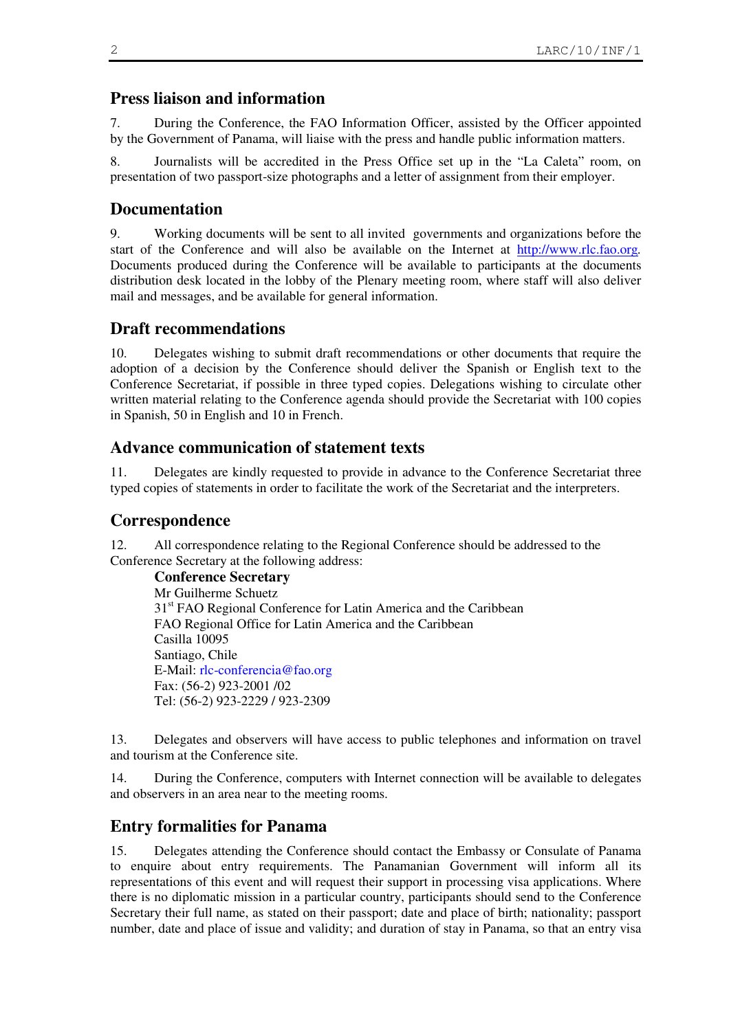### **Press liaison and information**

7. During the Conference, the FAO Information Officer, assisted by the Officer appointed by the Government of Panama, will liaise with the press and handle public information matters.

8. Journalists will be accredited in the Press Office set up in the "La Caleta" room, on presentation of two passport-size photographs and a letter of assignment from their employer.

### **Documentation**

9. Working documents will be sent to all invited governments and organizations before the start of the Conference and will also be available on the Internet at http://www.rlc.fao.org*.* Documents produced during the Conference will be available to participants at the documents distribution desk located in the lobby of the Plenary meeting room, where staff will also deliver mail and messages, and be available for general information.

### **Draft recommendations**

10. Delegates wishing to submit draft recommendations or other documents that require the adoption of a decision by the Conference should deliver the Spanish or English text to the Conference Secretariat, if possible in three typed copies. Delegations wishing to circulate other written material relating to the Conference agenda should provide the Secretariat with 100 copies in Spanish, 50 in English and 10 in French.

#### **Advance communication of statement texts**

11. Delegates are kindly requested to provide in advance to the Conference Secretariat three typed copies of statements in order to facilitate the work of the Secretariat and the interpreters.

#### **Correspondence**

12. All correspondence relating to the Regional Conference should be addressed to the Conference Secretary at the following address:

**Conference Secretary** Mr Guilherme Schuetz 31<sup>st</sup> FAO Regional Conference for Latin America and the Caribbean FAO Regional Office for Latin America and the Caribbean Casilla 10095 Santiago, Chile E-Mail: rlc-conferencia@fao.org Fax: (56-2) 923-2001 /02 Tel: (56-2) 923-2229 / 923-2309

13. Delegates and observers will have access to public telephones and information on travel and tourism at the Conference site.

14. During the Conference, computers with Internet connection will be available to delegates and observers in an area near to the meeting rooms.

### **Entry formalities for Panama**

15. Delegates attending the Conference should contact the Embassy or Consulate of Panama to enquire about entry requirements. The Panamanian Government will inform all its representations of this event and will request their support in processing visa applications. Where there is no diplomatic mission in a particular country, participants should send to the Conference Secretary their full name, as stated on their passport; date and place of birth; nationality; passport number, date and place of issue and validity; and duration of stay in Panama, so that an entry visa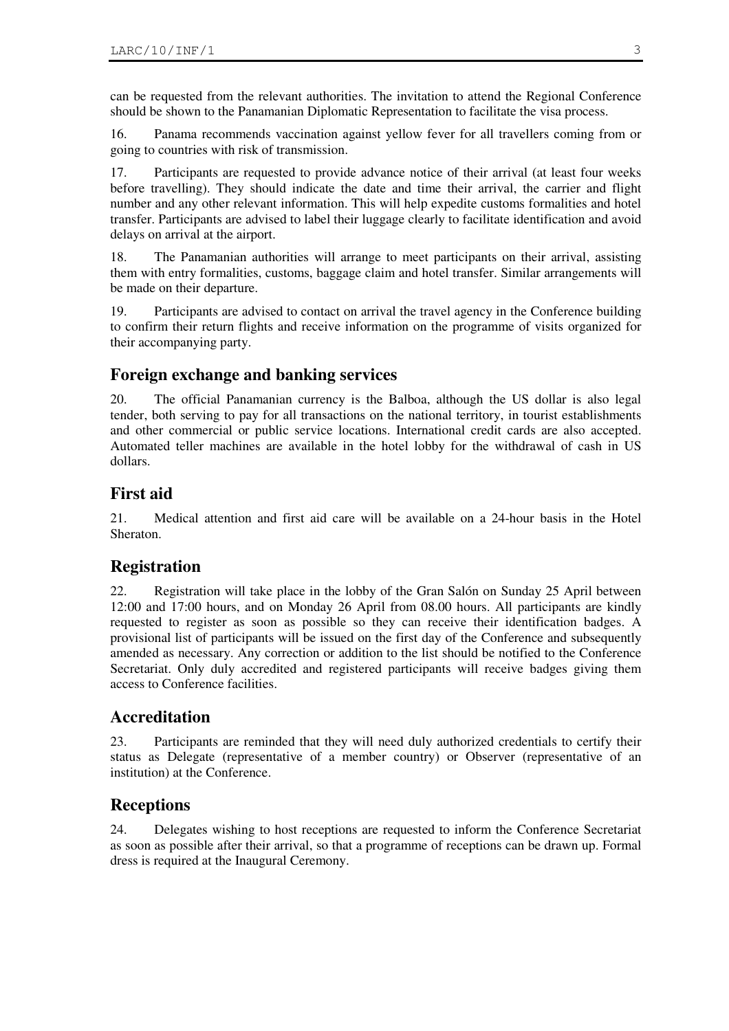can be requested from the relevant authorities. The invitation to attend the Regional Conference should be shown to the Panamanian Diplomatic Representation to facilitate the visa process.

16. Panama recommends vaccination against yellow fever for all travellers coming from or going to countries with risk of transmission.

17. Participants are requested to provide advance notice of their arrival (at least four weeks before travelling). They should indicate the date and time their arrival, the carrier and flight number and any other relevant information. This will help expedite customs formalities and hotel transfer. Participants are advised to label their luggage clearly to facilitate identification and avoid delays on arrival at the airport.

18. The Panamanian authorities will arrange to meet participants on their arrival, assisting them with entry formalities, customs, baggage claim and hotel transfer. Similar arrangements will be made on their departure.

19. Participants are advised to contact on arrival the travel agency in the Conference building to confirm their return flights and receive information on the programme of visits organized for their accompanying party.

## **Foreign exchange and banking services**

20. The official Panamanian currency is the Balboa, although the US dollar is also legal tender, both serving to pay for all transactions on the national territory, in tourist establishments and other commercial or public service locations. International credit cards are also accepted. Automated teller machines are available in the hotel lobby for the withdrawal of cash in US dollars.

## **First aid**

21. Medical attention and first aid care will be available on a 24-hour basis in the Hotel Sheraton.

## **Registration**

22. Registration will take place in the lobby of the Gran Salón on Sunday 25 April between 12:00 and 17:00 hours, and on Monday 26 April from 08.00 hours. All participants are kindly requested to register as soon as possible so they can receive their identification badges. A provisional list of participants will be issued on the first day of the Conference and subsequently amended as necessary. Any correction or addition to the list should be notified to the Conference Secretariat. Only duly accredited and registered participants will receive badges giving them access to Conference facilities.

## **Accreditation**

23. Participants are reminded that they will need duly authorized credentials to certify their status as Delegate (representative of a member country) or Observer (representative of an institution) at the Conference.

## **Receptions**

24. Delegates wishing to host receptions are requested to inform the Conference Secretariat as soon as possible after their arrival, so that a programme of receptions can be drawn up. Formal dress is required at the Inaugural Ceremony.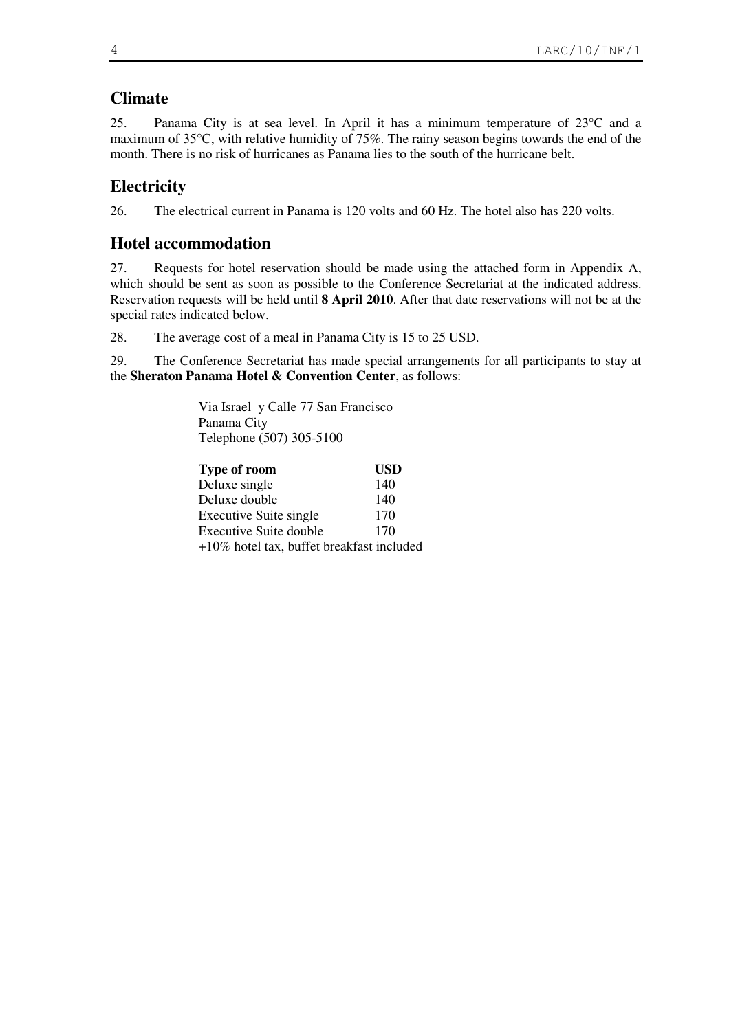# **Climate**

25. Panama City is at sea level. In April it has a minimum temperature of 23°C and a maximum of 35°C, with relative humidity of 75%. The rainy season begins towards the end of the month. There is no risk of hurricanes as Panama lies to the south of the hurricane belt.

# **Electricity**

26. The electrical current in Panama is 120 volts and 60 Hz. The hotel also has 220 volts.

# **Hotel accommodation**

27. Requests for hotel reservation should be made using the attached form in Appendix A, which should be sent as soon as possible to the Conference Secretariat at the indicated address. Reservation requests will be held until **8 April 2010**. After that date reservations will not be at the special rates indicated below.

28. The average cost of a meal in Panama City is 15 to 25 USD.

29. The Conference Secretariat has made special arrangements for all participants to stay at the **Sheraton Panama Hotel & Convention Center**, as follows:

> Via Israel y Calle 77 San Francisco Panama City Telephone (507) 305-5100

| Type of room                                 | <b>USD</b> |
|----------------------------------------------|------------|
| Deluxe single                                | 140        |
| Deluxe double                                | 140        |
| <b>Executive Suite single</b>                | 170        |
| Executive Suite double                       | 170        |
| $+10\%$ hotel tax, buffet breakfast included |            |